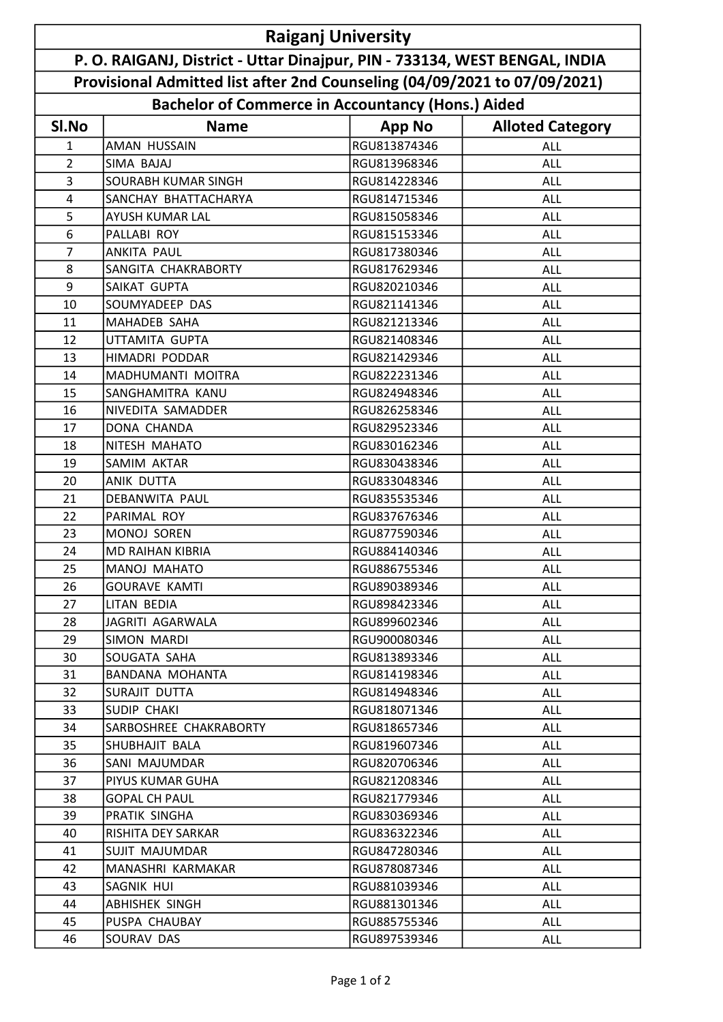| <b>Raiganj University</b>                                                  |                            |                                                          |                         |  |  |
|----------------------------------------------------------------------------|----------------------------|----------------------------------------------------------|-------------------------|--|--|
| P. O. RAIGANJ, District - Uttar Dinajpur, PIN - 733134, WEST BENGAL, INDIA |                            |                                                          |                         |  |  |
| Provisional Admitted list after 2nd Counseling (04/09/2021 to 07/09/2021)  |                            |                                                          |                         |  |  |
|                                                                            |                            | <b>Bachelor of Commerce in Accountancy (Hons.) Aided</b> |                         |  |  |
| SI.No                                                                      | <b>Name</b>                | <b>App No</b>                                            | <b>Alloted Category</b> |  |  |
| 1                                                                          | <b>AMAN HUSSAIN</b>        | RGU813874346                                             | ALL                     |  |  |
| $\overline{2}$                                                             | SIMA BAJAJ                 | RGU813968346                                             | <b>ALL</b>              |  |  |
| 3                                                                          | <b>SOURABH KUMAR SINGH</b> | RGU814228346                                             | <b>ALL</b>              |  |  |
| 4                                                                          | SANCHAY BHATTACHARYA       | RGU814715346                                             | <b>ALL</b>              |  |  |
| 5                                                                          | AYUSH KUMAR LAL            | RGU815058346                                             | ALL                     |  |  |
| 6                                                                          | PALLABI ROY                | RGU815153346                                             | <b>ALL</b>              |  |  |
| $\overline{7}$                                                             | <b>ANKITA PAUL</b>         | RGU817380346                                             | ALL                     |  |  |
| 8                                                                          | SANGITA CHAKRABORTY        | RGU817629346                                             | ALL                     |  |  |
| 9                                                                          | SAIKAT GUPTA               | RGU820210346                                             | <b>ALL</b>              |  |  |
| 10                                                                         | SOUMYADEEP DAS             | RGU821141346                                             | ALL                     |  |  |
| 11                                                                         | MAHADEB SAHA               | RGU821213346                                             | <b>ALL</b>              |  |  |
| 12                                                                         | UTTAMITA GUPTA             | RGU821408346                                             | ALL                     |  |  |
| 13                                                                         | HIMADRI PODDAR             | RGU821429346                                             | ALL                     |  |  |
| 14                                                                         | MADHUMANTI MOITRA          | RGU822231346                                             | ALL                     |  |  |
| 15                                                                         | SANGHAMITRA KANU           | RGU824948346                                             | ALL                     |  |  |
| 16                                                                         | NIVEDITA SAMADDER          | RGU826258346                                             | <b>ALL</b>              |  |  |
| 17                                                                         | <b>DONA CHANDA</b>         | RGU829523346                                             | <b>ALL</b>              |  |  |
| 18                                                                         | NITESH MAHATO              | RGU830162346                                             | <b>ALL</b>              |  |  |
| 19                                                                         | SAMIM AKTAR                | RGU830438346                                             | ALL                     |  |  |
| 20                                                                         | <b>ANIK DUTTA</b>          | RGU833048346                                             | ALL                     |  |  |
| 21                                                                         | DEBANWITA PAUL             | RGU835535346                                             | ALL                     |  |  |
| 22                                                                         | PARIMAL ROY                | RGU837676346                                             | ALL                     |  |  |
| 23                                                                         | MONOJ SOREN                | RGU877590346                                             | <b>ALL</b>              |  |  |
| 24                                                                         | <b>MD RAIHAN KIBRIA</b>    | RGU884140346                                             | ALL                     |  |  |
| 25                                                                         | MANOJ MAHATO               | RGU886755346                                             | <b>ALL</b>              |  |  |
| 26                                                                         | <b>GOURAVE KAMTI</b>       | RGU890389346                                             | ALL                     |  |  |
| 27                                                                         | LITAN BEDIA                | RGU898423346                                             | ALL                     |  |  |
| 28                                                                         | JAGRITI AGARWALA           | RGU899602346                                             | ALL                     |  |  |
| 29                                                                         | SIMON MARDI                | RGU900080346                                             | ALL                     |  |  |
| 30                                                                         | SOUGATA SAHA               | RGU813893346                                             | ALL                     |  |  |
| 31                                                                         | <b>BANDANA MOHANTA</b>     | RGU814198346                                             | <b>ALL</b>              |  |  |
| 32                                                                         | SURAJIT DUTTA              | RGU814948346                                             | ALL                     |  |  |
| 33                                                                         | <b>SUDIP CHAKI</b>         | RGU818071346                                             | <b>ALL</b>              |  |  |
| 34                                                                         | SARBOSHREE CHAKRABORTY     | RGU818657346                                             | ALL                     |  |  |
| 35                                                                         | SHUBHAJIT BALA             | RGU819607346                                             | ALL                     |  |  |
| 36                                                                         | SANI MAJUMDAR              | RGU820706346                                             | ALL                     |  |  |
| 37                                                                         | PIYUS KUMAR GUHA           | RGU821208346                                             | ALL                     |  |  |
| 38                                                                         | <b>GOPAL CH PAUL</b>       | RGU821779346                                             | ALL                     |  |  |
| 39                                                                         | PRATIK SINGHA              | RGU830369346                                             | ALL                     |  |  |
| 40                                                                         | RISHITA DEY SARKAR         | RGU836322346                                             | <b>ALL</b>              |  |  |
| 41                                                                         | <b>SUJIT MAJUMDAR</b>      | RGU847280346                                             | ALL                     |  |  |
| 42                                                                         | MANASHRI KARMAKAR          | RGU878087346                                             | ALL                     |  |  |
| 43                                                                         | SAGNIK HUI                 | RGU881039346                                             | ALL                     |  |  |
| 44                                                                         | <b>ABHISHEK SINGH</b>      | RGU881301346                                             | <b>ALL</b>              |  |  |
| 45                                                                         | PUSPA CHAUBAY              | RGU885755346                                             | ALL                     |  |  |
| 46                                                                         | SOURAV DAS                 | RGU897539346                                             | ALL                     |  |  |